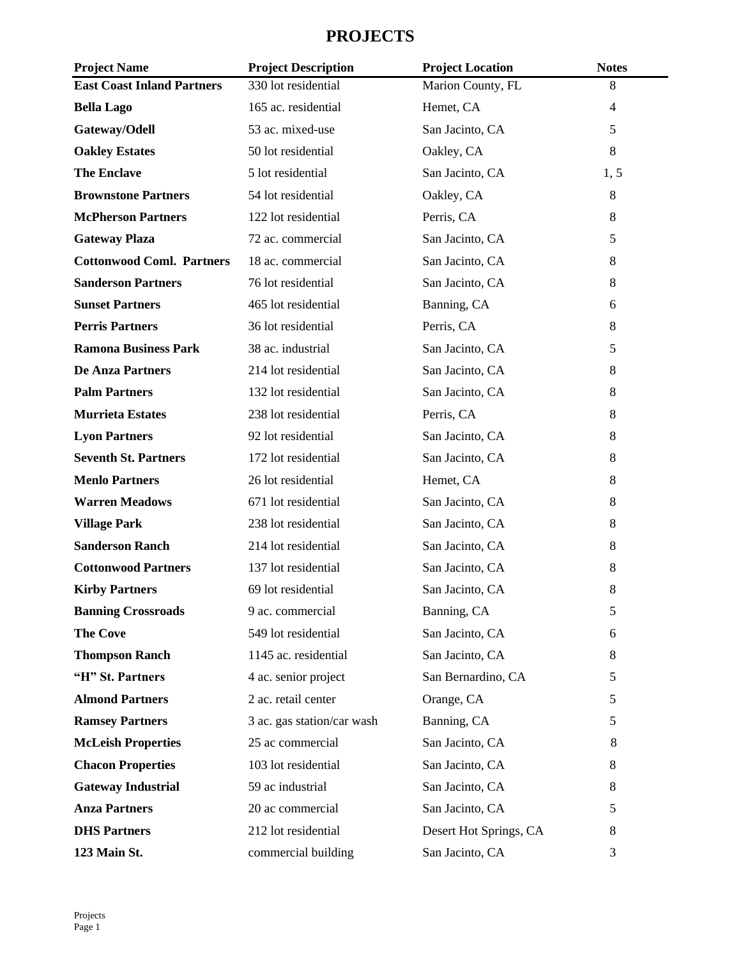## **PROJECTS**

| <b>Project Name</b>               | <b>Project Description</b> | <b>Project Location</b> | <b>Notes</b>   |
|-----------------------------------|----------------------------|-------------------------|----------------|
| <b>East Coast Inland Partners</b> | 330 lot residential        | Marion County, FL       | 8              |
| <b>Bella Lago</b>                 | 165 ac. residential        | Hemet, CA               | $\overline{4}$ |
| Gateway/Odell                     | 53 ac. mixed-use           | San Jacinto, CA         | 5              |
| <b>Oakley Estates</b>             | 50 lot residential         | Oakley, CA              | 8              |
| <b>The Enclave</b>                | 5 lot residential          | San Jacinto, CA         | 1, 5           |
| <b>Brownstone Partners</b>        | 54 lot residential         | Oakley, CA              | 8              |
| <b>McPherson Partners</b>         | 122 lot residential        | Perris, CA              | 8              |
| <b>Gateway Plaza</b>              | 72 ac. commercial          | San Jacinto, CA         | 5              |
| <b>Cottonwood Coml. Partners</b>  | 18 ac. commercial          | San Jacinto, CA         | 8              |
| <b>Sanderson Partners</b>         | 76 lot residential         | San Jacinto, CA         | 8              |
| <b>Sunset Partners</b>            | 465 lot residential        | Banning, CA             | 6              |
| <b>Perris Partners</b>            | 36 lot residential         | Perris, CA              | 8              |
| <b>Ramona Business Park</b>       | 38 ac. industrial          | San Jacinto, CA         | 5              |
| <b>De Anza Partners</b>           | 214 lot residential        | San Jacinto, CA         | 8              |
| <b>Palm Partners</b>              | 132 lot residential        | San Jacinto, CA         | 8              |
| <b>Murrieta Estates</b>           | 238 lot residential        | Perris, CA              | 8              |
| <b>Lyon Partners</b>              | 92 lot residential         | San Jacinto, CA         | 8              |
| <b>Seventh St. Partners</b>       | 172 lot residential        | San Jacinto, CA         | 8              |
| <b>Menlo Partners</b>             | 26 lot residential         | Hemet, CA               | 8              |
| <b>Warren Meadows</b>             | 671 lot residential        | San Jacinto, CA         | 8              |
| <b>Village Park</b>               | 238 lot residential        | San Jacinto, CA         | 8              |
| <b>Sanderson Ranch</b>            | 214 lot residential        | San Jacinto, CA         | 8              |
| <b>Cottonwood Partners</b>        | 137 lot residential        | San Jacinto, CA         | 8              |
| <b>Kirby Partners</b>             | 69 lot residential         | San Jacinto, CA         | 8              |
| <b>Banning Crossroads</b>         | 9 ac. commercial           | Banning, CA             | 5              |
| <b>The Cove</b>                   | 549 lot residential        | San Jacinto, CA         | 6              |
| <b>Thompson Ranch</b>             | 1145 ac. residential       | San Jacinto, CA         | 8              |
| "H" St. Partners                  | 4 ac. senior project       | San Bernardino, CA      | 5              |
| <b>Almond Partners</b>            | 2 ac. retail center        | Orange, CA              | 5              |
| <b>Ramsey Partners</b>            | 3 ac. gas station/car wash | Banning, CA             | 5              |
| <b>McLeish Properties</b>         | 25 ac commercial           | San Jacinto, CA         | 8              |
| <b>Chacon Properties</b>          | 103 lot residential        | San Jacinto, CA         | 8              |
| <b>Gateway Industrial</b>         | 59 ac industrial           | San Jacinto, CA         | 8              |
| <b>Anza Partners</b>              | 20 ac commercial           | San Jacinto, CA         | 5              |
| <b>DHS Partners</b>               | 212 lot residential        | Desert Hot Springs, CA  | 8              |
| 123 Main St.                      | commercial building        | San Jacinto, CA         | 3              |